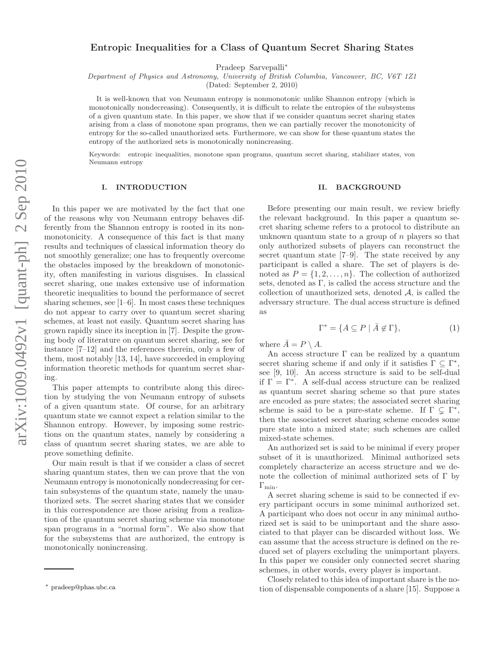# Entropic Inequalities for a Class of Quantum Secret Sharing States

Pradeep Sarvepalli<sup>∗</sup>

Department of Physics and Astronomy, University of British Columbia, Vancouver, BC, V6T 1Z1

(Dated: September 2, 2010)

It is well-known that von Neumann entropy is nonmonotonic unlike Shannon entropy (which is monotonically nondecreasing). Consequently, it is difficult to relate the entropies of the subsystems of a given quantum state. In this paper, we show that if we consider quantum secret sharing states arising from a class of monotone span programs, then we can partially recover the monotonicity of entropy for the so-called unauthorized sets. Furthermore, we can show for these quantum states the entropy of the authorized sets is monotonically nonincreasing.

Keywords: entropic inequalities, monotone span programs, quantum secret sharing, stabilizer states, von Neumann entropy

#### I. INTRODUCTION

In this paper we are motivated by the fact that one of the reasons why von Neumann entropy behaves differently from the Shannon entropy is rooted in its nonmonotonicity. A consequence of this fact is that many results and techniques of classical information theory do not smoothly generalize; one has to frequently overcome the obstacles imposed by the breakdown of monotonicity, often manifesting in various disguises. In classical secret sharing, one makes extensive use of information theoretic inequalities to bound the performance of secret sharing schemes, see  $[1-6]$ . In most cases these techniques do not appear to carry over to quantum secret sharing schemes, at least not easily. Quantum secret sharing has grown rapidly since its inception in [7]. Despite the growing body of literature on quantum secret sharing, see for instance [7–12] and the references therein, only a few of them, most notably [13, 14], have succeeded in employing information theoretic methods for quantum secret sharing.

This paper attempts to contribute along this direction by studying the von Neumann entropy of subsets of a given quantum state. Of course, for an arbitrary quantum state we cannot expect a relation similar to the Shannon entropy. However, by imposing some restrictions on the quantum states, namely by considering a class of quantum secret sharing states, we are able to prove something definite.

Our main result is that if we consider a class of secret sharing quantum states, then we can prove that the von Neumann entropy is monotonically nondecreasing for certain subsystems of the quantum state, namely the unauthorized sets. The secret sharing states that we consider in this correspondence are those arising from a realization of the quantum secret sharing scheme via monotone span programs in a "normal form". We also show that for the subsystems that are authorized, the entropy is monotonically nonincreasing.

#### II. BACKGROUND

Before presenting our main result, we review briefly the relevant background. In this paper a quantum secret sharing scheme refers to a protocol to distribute an unknown quantum state to a group of  $n$  players so that only authorized subsets of players can reconstruct the secret quantum state [7–9]. The state received by any participant is called a share. The set of players is denoted as  $P = \{1, 2, ..., n\}$ . The collection of authorized sets, denoted as Γ, is called the access structure and the collection of unauthorized sets, denoted  $A$ , is called the adversary structure. The dual access structure is defined as

$$
\Gamma^* = \{ A \subseteq P \mid \bar{A} \notin \Gamma \},\tag{1}
$$

where  $\overline{A} = P \setminus A$ .

An access structure  $\Gamma$  can be realized by a quantum secret sharing scheme if and only if it satisfies  $\Gamma \subseteq \Gamma^*$ , see [9, 10]. An access structure is said to be self-dual if  $\Gamma = \Gamma^*$ . A self-dual access structure can be realized as quantum secret sharing scheme so that pure states are encoded as pure states; the associated secret sharing scheme is said to be a pure-state scheme. If  $\Gamma \subsetneq \Gamma^*$ , then the associated secret sharing scheme encodes some pure state into a mixed state; such schemes are called mixed-state schemes.

An authorized set is said to be minimal if every proper subset of it is unauthorized. Minimal authorized sets completely characterize an access structure and we denote the collection of minimal authorized sets of  $\Gamma$  by  $\Gamma_{\rm min}$ .

A secret sharing scheme is said to be connected if every participant occurs in some minimal authorized set. A participant who does not occur in any minimal authorized set is said to be unimportant and the share associated to that player can be discarded without loss. We can assume that the access structure is defined on the reduced set of players excluding the unimportant players. In this paper we consider only connected secret sharing schemes, in other words, every player is important.

Closely related to this idea of important share is the notion of dispensable components of a share [15]. Suppose a

<sup>∗</sup> pradeep@phas.ubc.ca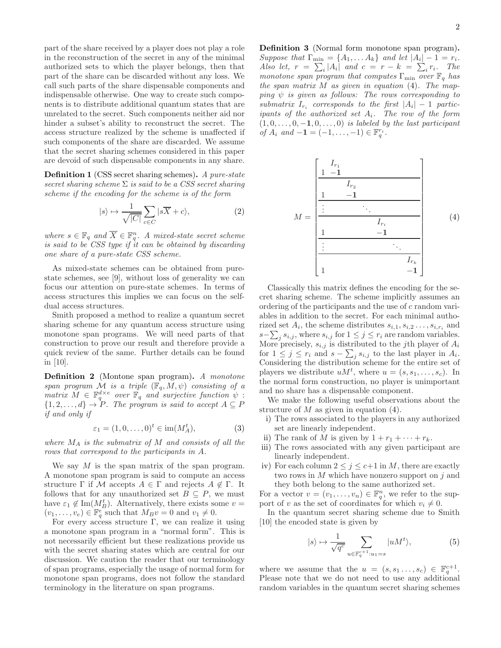part of the share received by a player does not play a role in the reconstruction of the secret in any of the minimal authorized sets to which the player belongs, then that part of the share can be discarded without any loss. We call such parts of the share dispensable components and indispensable otherwise. One way to create such components is to distribute additional quantum states that are unrelated to the secret. Such components neither aid nor hinder a subset's ability to reconstruct the secret. The access structure realized by the scheme is unaffected if such components of the share are discarded. We assume that the secret sharing schemes considered in this paper are devoid of such dispensable components in any share.

Definition 1 (CSS secret sharing schemes). *A pure-state secret sharing scheme* Σ *is said to be a CSS secret sharing scheme if the encoding for the scheme is of the form*

$$
|s\rangle \mapsto \frac{1}{\sqrt{|C|}} \sum_{c \in C} |s\overline{X} + c\rangle,\tag{2}
$$

*where*  $s \in \mathbb{F}_q$  and  $\overline{X} \in \mathbb{F}_q^n$ . A mixed-state secret scheme *is said to be CSS type if it can be obtained by discarding one share of a pure-state CSS scheme.*

As mixed-state schemes can be obtained from purestate schemes, see [9], without loss of generality we can focus our attention on pure-state schemes. In terms of access structures this implies we can focus on the selfdual access structures.

Smith proposed a method to realize a quantum secret sharing scheme for any quantum access structure using monotone span programs. We will need parts of that construction to prove our result and therefore provide a quick review of the same. Further details can be found in [10].

Definition 2 (Montone span program). *A monotone span program*  $M$  *is a triple*  $(\mathbb{F}_q, M, \psi)$  *consisting of a*  $matrix M \in \mathbb{F}_q^{d \times e}$  *over*  $\mathbb{F}_q$  *and surjective function*  $\psi$ :  ${1, 2, ..., d} \rightarrow P$ *. The program is said to accept*  $A \subseteq P$ *if and only if*

$$
\varepsilon_1 = (1, 0, \dots, 0)^t \in \text{im}(M_A^t),\tag{3}
$$

*where* M<sup>A</sup> *is the submatrix of* M *and consists of all the rows that correspond to the participants in* A*.*

We say M is the span matrix of the span program. A monotone span program is said to compute an access structure  $\Gamma$  if M accepts  $A \in \Gamma$  and rejects  $A \notin \Gamma$ . It follows that for any unauthorized set  $B \subseteq P$ , we must have  $\varepsilon_1 \notin \text{Im}(M_B^t)$ . Alternatively, there exists some  $v =$  $(v_1, \ldots, v_e) \in \mathbb{F}_q^e$  such that  $M_B v = 0$  and  $v_1 \neq 0$ .

For every access structure  $\Gamma$ , we can realize it using a monotone span program in a "normal form". This is not necessarily efficient but these realizations provide us with the secret sharing states which are central for our discussion. We caution the reader that our terminology of span programs, especially the usage of normal form for monotone span programs, does not follow the standard terminology in the literature on span programs.

Definition 3 (Normal form monotone span program). *Suppose that*  $\Gamma_{\min} = \{A_1, \ldots A_k\}$  *and let*  $|A_i| - 1 = r_i$ . *Also let,*  $r = \sum_i |A_i|$  and  $c = r - k = \sum_i r_i$ . The *monotone span program that computes*  $\Gamma_{\text{min}}$  *over*  $\mathbb{F}_q$  *has the span matrix* M *as given in equation* (4)*. The mapping*  $\psi$  *is given as follows:* The rows corresponding to  $\sum_{i=1}^{\infty} I_{ri}$  *corresponds to the first*  $|A_i| - 1$  *participants of the authorized set* Ai*. The row of the form*  $(1, 0, \ldots, 0, -1, 0, \ldots, 0)$  *is labeled by the last participant of*  $A_i$  *and*  $-1 = (-1, ..., -1) \in \mathbb{F}_q^{r_i}$ .



Classically this matrix defines the encoding for the secret sharing scheme. The scheme implicitly assumes an ordering of the participants and the use of c random variables in addition to the secret. For each minimal authorized set  $A_i$ , the scheme distributes  $s_{i,1}, s_{i,2}, \ldots, s_{i,r_i}$  and  $s-\sum_j s_{i,j}$ , where  $s_{i,j}$  for  $1 \leq j \leq r_i$  are random variables. More precisely,  $s_{i,j}$  is distributed to the jth player of  $A_i$ for  $1 \leq j \leq r_i$  and  $s - \sum_j s_{i,j}$  to the last player in  $A_i$ . Considering the distribution scheme for the entire set of players we distribute  $uM^t$ , where  $u = (s, s_1, \ldots, s_c)$ . In the normal form construction, no player is unimportant and no share has a dispensable component.

We make the following useful observations about the structure of  $M$  as given in equation  $(4)$ .

- i) The rows associated to the players in any authorized set are linearly independent.
- ii) The rank of M is given by  $1 + r_1 + \cdots + r_k$ .
- iii) The rows associated with any given participant are linearly independent.
- iv) For each column  $2 \leq j \leq c+1$  in M, there are exactly two rows in  $M$  which have nonzero support on  $j$  and they both belong to the same authorized set.

For a vector  $v = (v_1, \ldots, v_n) \in \mathbb{F}_q^n$ , we refer to the support of v as the set of coordinates for which  $v_i \neq 0$ .

In the quantum secret sharing scheme due to Smith [10] the encoded state is given by

$$
|s\rangle \mapsto \frac{1}{\sqrt{q^c}} \sum_{u \in \mathbb{F}_q^{c+1}: u_1 = s} |u M^t\rangle, \tag{5}
$$

where we assume that the  $u = (s, s_1, \ldots, s_c) \in \mathbb{F}_q^{c+1}$ . Please note that we do not need to use any additional random variables in the quantum secret sharing schemes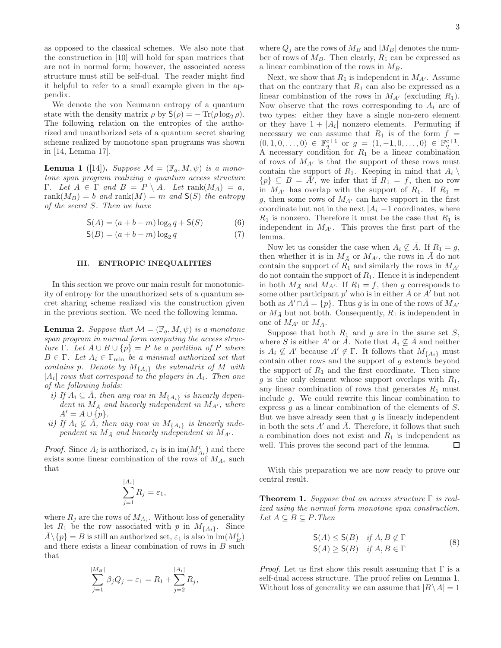as opposed to the classical schemes. We also note that the construction in [10] will hold for span matrices that are not in normal form; however, the associated access structure must still be self-dual. The reader might find it helpful to refer to a small example given in the appendix.

We denote the von Neumann entropy of a quantum state with the density matrix  $\rho$  by  $S(\rho) = -\text{Tr}(\rho \log_2 \rho)$ . The following relation on the entropies of the authorized and unauthorized sets of a quantum secret sharing scheme realized by monotone span programs was shown in [14, Lemma 17].

**Lemma 1** ([14]). *Suppose*  $\mathcal{M} = (\mathbb{F}_q, M, \psi)$  *is a monotone span program realizing a quantum access structure* Γ*. Let* A ∈ Γ *and* B = P \ A*. Let* rank(MA) = a*,*  $rank(M_B) = b$  *and*  $rank(M) = m$  *and*  $S(S)$  *the entropy of the secret* S*. Then we have*

$$
S(A) = (a + b - m) \log_2 q + S(S)
$$
 (6)

$$
\mathsf{S}(B) = (a+b-m)\log_2 q \tag{7}
$$

## III. ENTROPIC INEQUALITIES

In this section we prove our main result for monotonicity of entropy for the unauthorized sets of a quantum secret sharing scheme realized via the construction given in the previous section. We need the following lemma.

**Lemma 2.** *Suppose that*  $\mathcal{M} = (\mathbb{F}_q, M, \psi)$  *is a monotone span program in normal form computing the access structure* Γ. Let  $A \cup B \cup \{p\} = P$  *be a partition of* P *where*  $B \in \Gamma$ *. Let*  $A_i \in \Gamma_{\min}$  *be a minimal authorized set that contains* p*. Denote by* M{Ai} *the submatrix of* M *with*  $|A_i|$  rows that correspond to the players in  $A_i$ . Then one *of the following holds:*

- *i)* If  $A_i \subseteq \overline{A}$ , then any row in  $M_{\{A_i\}}$  is linearly depen*dent in*  $M_{\bar{A}}$  *and linearly independent in*  $M_{A'}$ *, where*  $A' = A \cup \{p\}.$
- *ii)* If  $A_i \nsubseteq \overline{A}$ , then any row in  $M_{\{A_i\}}$  is linearly inde*pendent in*  $M_{\overline{A}}$  *and linearly independent in*  $M_{A'}$ *.*

*Proof.* Since  $A_i$  is authorized,  $\varepsilon_1$  is in  $\text{im}(M_{A_i}^t)$  and there exists some linear combination of the rows of  $M_{A_i}$  such that

$$
\sum_{j=1}^{|A_i|} R_j = \varepsilon_1,
$$

where  $R_j$  are the rows of  $M_{A_i}$ . Without loss of generality let  $R_1$  be the row associated with p in  $M_{\{A_i\}}$ . Since  $\bar{A} \setminus \{p\} = B$  is still an authorized set,  $\varepsilon_1$  is also in  $\text{im}(M_B^t)$ and there exists a linear combination of rows in  $B$  such that

$$
\sum_{j=1}^{|M_B|} \beta_j Q_j = \varepsilon_1 = R_1 + \sum_{j=2}^{|A_i|} R_j,
$$

where  $Q_j$  are the rows of  $M_B$  and  $|M_B|$  denotes the number of rows of  $M_B$ . Then clearly,  $R_1$  can be expressed as a linear combination of the rows in  $M_B$ .

Next, we show that  $R_1$  is independent in  $M_{A'}$ . Assume that on the contrary that  $R_1$  can also be expressed as a linear combination of the rows in  $M_{A'}$  (excluding  $R_1$ ). Now observe that the rows corresponding to  $A_i$  are of two types: either they have a single non-zero element or they have  $1 + |A_i|$  nonzero elements. Permuting if necessary we can assume that  $R_1$  is of the form  $f =$  $(0, 1, 0, \ldots, 0) \in \mathbb{F}_q^{c+1}$  or  $g = (1, -1, 0, \ldots, 0) \in \mathbb{F}_q^{c+1}$ . A necessary condition for  $R_1$  be a linear combination of rows of  $M_{A'}$  is that the support of these rows must contain the support of  $R_1$ . Keeping in mind that  $A_i \setminus$  ${p} \subseteq B = \overline{A'}$ , we infer that if  $R_1 = f$ , then no row in  $M_{A'}$  has overlap with the support of  $R_1$ . If  $R_1 =$ g, then some rows of  $M_{A'}$  can have support in the first coordinate but not in the next  $|A_i|$  – 1 coordinates, where  $R_1$  is nonzero. Therefore it must be the case that  $R_1$  is independent in  $M_{A'}$ . This proves the first part of the lemma.

Now let us consider the case when  $A_i \nsubseteq \overline{A}$ . If  $R_1 = g$ , then whether it is in  $M_{\bar{A}}$  or  $M_{A'}$ , the rows in A do not contain the support of  $R_1$  and similarly the rows in  $M_{A'}$ do not contain the support of  $R_1$ . Hence it is independent in both  $M_{\bar{A}}$  and  $M_{A'}$ . If  $R_1 = f$ , then g corresponds to some other participant  $p'$  who is in either  $\overline{A}$  or  $A'$  but not both as  $A' \cap A = \{p\}$ . Thus g is in one of the rows of  $M_{A'}$ or  $M_{\bar{A}}$  but not both. Consequently,  $R_1$  is independent in one of  $M_{A'}$  or  $M_{\bar{A}}$ .

Suppose that both  $R_1$  and  $g$  are in the same set  $S$ , where S is either A' or  $\overline{A}$ . Note that  $A_i \nsubseteq \overline{A}$  and neither is  $A_i \nsubseteq A'$  because  $A' \notin \Gamma$ . It follows that  $M_{\{A_i\}}$  must contain other rows and the support of g extends beyond the support of  $R_1$  and the first coordinate. Then since g is the only element whose support overlaps with  $R_1$ , any linear combination of rows that generates  $R_1$  must include g. We could rewrite this linear combination to express g as a linear combination of the elements of S. But we have already seen that  $q$  is linearly independent in both the sets  $A'$  and  $\overline{A}$ . Therefore, it follows that such a combination does not exist and  $R_1$  is independent as well. This proves the second part of the lemma.  $\Box$ 

With this preparation we are now ready to prove our central result.

Theorem 1. *Suppose that an access structure* Γ *is realized using the normal form monotone span construction.*  $Let A ⊆ B ⊆ P. Then$ 

$$
S(A) \leq S(B) \quad \text{if } A, B \notin \Gamma
$$
  
\n
$$
S(A) \geq S(B) \quad \text{if } A, B \in \Gamma
$$
 (8)

*Proof.* Let us first show this result assuming that  $\Gamma$  is a self-dual access structure. The proof relies on Lemma 1. Without loss of generality we can assume that  $|B \setminus A| = 1$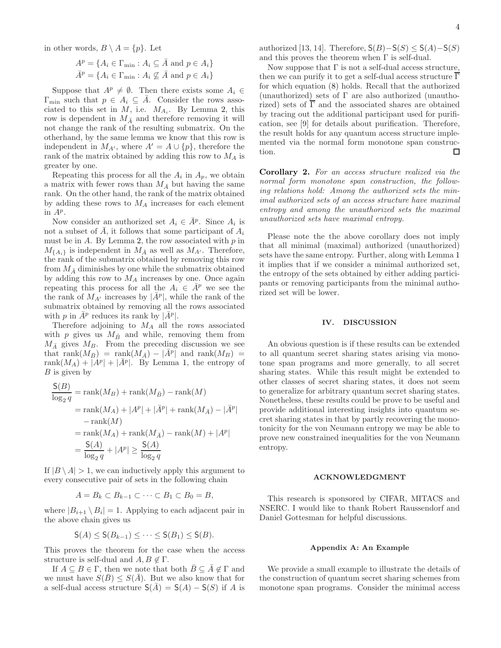in other words,  $B \setminus A = \{p\}$ . Let

$$
A^{p} = \{ A_{i} \in \Gamma_{\min} : A_{i} \subseteq \overline{A} \text{ and } p \in A_{i} \}
$$

$$
\overline{A}^{p} = \{ A_{i} \in \Gamma_{\min} : A_{i} \nsubseteq \overline{A} \text{ and } p \in A_{i} \}
$$

Suppose that  $A^p \neq \emptyset$ . Then there exists some  $A_i \in$  $\Gamma_{\min}$  such that  $p \in A_i \subseteq \overline{A}$ . Consider the rows associated to this set in  $M$ , i.e.  $M_{A_i}$ . By Lemma 2, this row is dependent in  $M_{\bar{A}}$  and therefore removing it will not change the rank of the resulting submatrix. On the otherhand, by the same lemma we know that this row is independent in  $M_{A'}$ , where  $A' = A \cup \{p\}$ , therefore the rank of the matrix obtained by adding this row to  $M_A$  is greater by one.

Repeating this process for all the  $A_i$  in  $A_p$ , we obtain a matrix with fewer rows than  $M_{\bar{A}}$  but having the same rank. On the other hand, the rank of the matrix obtained by adding these rows to  $M_A$  increases for each element in  $A^p$ .

Now consider an authorized set  $A_i \in \bar{A}^p$ . Since  $A_i$  is not a subset of A, it follows that some participant of  $A_i$ must be in  $A$ . By Lemma 2, the row associated with  $p$  in  $M_{\{A_i\}}$  is independent in  $M_{\bar{A}}$  as well as  $M_{A'}$ . Therefore, the rank of the submatrix obtained by removing this row from  $M_{\bar{A}}$  diminishes by one while the submatrix obtained by adding this row to  $M_A$  increases by one. Once again repeating this process for all the  $A_i \in \overline{A}^p$  we see the the rank of  $M_{A'}$  increases by  $|\bar{A}^p|$ , while the rank of the submatrix obtained by removing all the rows associated with p in  $\bar{A}^p$  reduces its rank by  $|\bar{A}^p|$ .

Therefore adjoining to  $M_A$  all the rows associated with p gives us  $M_{\bar{B}}$  and while, removing them from  $M_{\bar{A}}$  gives  $M_B$ . From the preceding discussion we see that rank $(M_{\bar{B}})$  = rank $(M_{\bar{A}})$  –  $|\bar{A}^p|$  and rank $(M_B)$  = rank $(M_A) + |A^p| + |\bar{A}^p|$ . By Lemma 1, the entropy of  $\boldsymbol{B}$  is given by

$$
\frac{\mathsf{S}(B)}{\log_2 q} = \text{rank}(M_B) + \text{rank}(M_{\bar{B}}) - \text{rank}(M)
$$
  
=  $\text{rank}(M_A) + |A^p| + |\bar{A}^p| + \text{rank}(M_{\bar{A}}) - |\bar{A}^p|$   
 $- \text{rank}(M)$   
=  $\text{rank}(M_A) + \text{rank}(M_{\bar{A}}) - \text{rank}(M) + |A^p|$   
=  $\frac{\mathsf{S}(A)}{\log_2 q} + |A^p| \ge \frac{\mathsf{S}(A)}{\log_2 q}$ 

If  $|B \setminus A| > 1$ , we can inductively apply this argument to every consecutive pair of sets in the following chain

$$
A=B_k\subset B_{k-1}\subset\cdots\subset B_1\subset B_0=B,
$$

where  $|B_{i+1} \setminus B_i| = 1$ . Applying to each adjacent pair in the above chain gives us

$$
\mathsf{S}(A) \leq \mathsf{S}(B_{k-1}) \leq \cdots \leq \mathsf{S}(B_1) \leq \mathsf{S}(B).
$$

This proves the theorem for the case when the access structure is self-dual and  $A, B \notin \Gamma$ .

If  $A \subseteq B \in \Gamma$ , then we note that both  $B \subseteq A \notin \Gamma$  and we must have  $S(\overline{B}) \leq S(\overline{A})$ . But we also know that for a self-dual access structure  $S(\overline{A}) = S(A) - S(S)$  if A is

authorized [13, 14]. Therefore,  $S(B)$ – $S(S)$  ≤  $S(A)$ – $S(S)$ and this proves the theorem when  $\Gamma$  is self-dual.

Now suppose that  $\Gamma$  is not a self-dual access structure, then we can purify it to get a self-dual access structure  $\overline{\Gamma}$ for which equation (8) holds. Recall that the authorized (unauthorized) sets of Γ are also authorized (unauthorized) sets of  $\overline{\Gamma}$  and the associated shares are obtained by tracing out the additional participant used for purification, see [9] for details about purification. Therefore, the result holds for any quantum access structure implemented via the normal form monotone span construction.  $\Box$ 

Corollary 2. *For an access structure realized via the normal form monotone span construction, the following relations hold: Among the authorized sets the minimal authorized sets of an access structure have maximal entropy and among the unauthorized sets the maximal unauthorized sets have maximal entropy.*

Please note the the above corollary does not imply that all minimal (maximal) authorized (unauthorized) sets have the same entropy. Further, along with Lemma 1 it implies that if we consider a minimal authorized set, the entropy of the sets obtained by either adding participants or removing participants from the minimal authorized set will be lower.

### IV. DISCUSSION

An obvious question is if these results can be extended to all quantum secret sharing states arising via monotone span programs and more generally, to all secret sharing states. While this result might be extended to other classes of secret sharing states, it does not seem to generalize for arbitrary quantum secret sharing states. Nonetheless, these results could be prove to be useful and provide additional interesting insights into quantum secret sharing states in that by partly recovering the monotonicity for the von Neumann entropy we may be able to prove new constrained inequalities for the von Neumann entropy.

## ACKNOWLEDGMENT

This research is sponsored by CIFAR, MITACS and NSERC. I would like to thank Robert Raussendorf and Daniel Gottesman for helpful discussions.

#### Appendix A: An Example

We provide a small example to illustrate the details of the construction of quantum secret sharing schemes from monotone span programs. Consider the minimal access